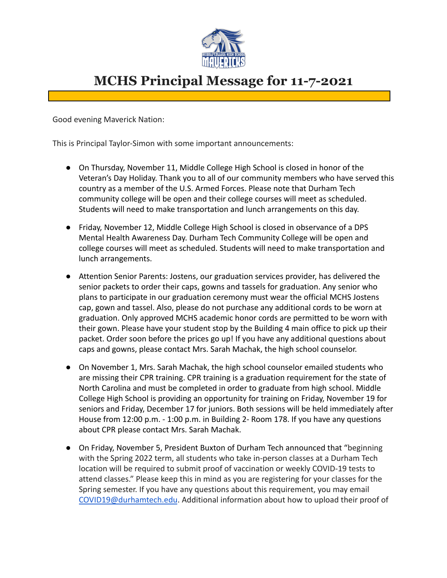

## **MCHS Principal Message for 11-7-2021**

Good evening Maverick Nation:

This is Principal Taylor-Simon with some important announcements:

- On Thursday, November 11, Middle College High School is closed in honor of the Veteran's Day Holiday. Thank you to all of our community members who have served this country as a member of the U.S. Armed Forces. Please note that Durham Tech community college will be open and their college courses will meet as scheduled. Students will need to make transportation and lunch arrangements on this day.
- Friday, November 12, Middle College High School is closed in observance of a DPS Mental Health Awareness Day. Durham Tech Community College will be open and college courses will meet as scheduled. Students will need to make transportation and lunch arrangements.
- Attention Senior Parents: Jostens, our graduation services provider, has delivered the senior packets to order their caps, gowns and tassels for graduation. Any senior who plans to participate in our graduation ceremony must wear the official MCHS Jostens cap, gown and tassel. Also, please do not purchase any additional cords to be worn at graduation. Only approved MCHS academic honor cords are permitted to be worn with their gown. Please have your student stop by the Building 4 main office to pick up their packet. Order soon before the prices go up! If you have any additional questions about caps and gowns, please contact Mrs. Sarah Machak, the high school counselor.
- On November 1, Mrs. Sarah Machak, the high school counselor emailed students who are missing their CPR training. CPR training is a graduation requirement for the state of North Carolina and must be completed in order to graduate from high school. Middle College High School is providing an opportunity for training on Friday, November 19 for seniors and Friday, December 17 for juniors. Both sessions will be held immediately after House from 12:00 p.m. - 1:00 p.m. in Building 2- Room 178. If you have any questions about CPR please contact Mrs. Sarah Machak.
- On Friday, November 5, President Buxton of Durham Tech announced that "beginning with the Spring 2022 term, all students who take in-person classes at a Durham Tech location will be required to submit proof of vaccination or weekly COVID-19 tests to attend classes." Please keep this in mind as you are registering for your classes for the Spring semester. If you have any questions about this requirement, you may email [COVID19@durhamtech.edu](mailto:COVID19@durhamtech.edu). Additional information about how to upload their proof of